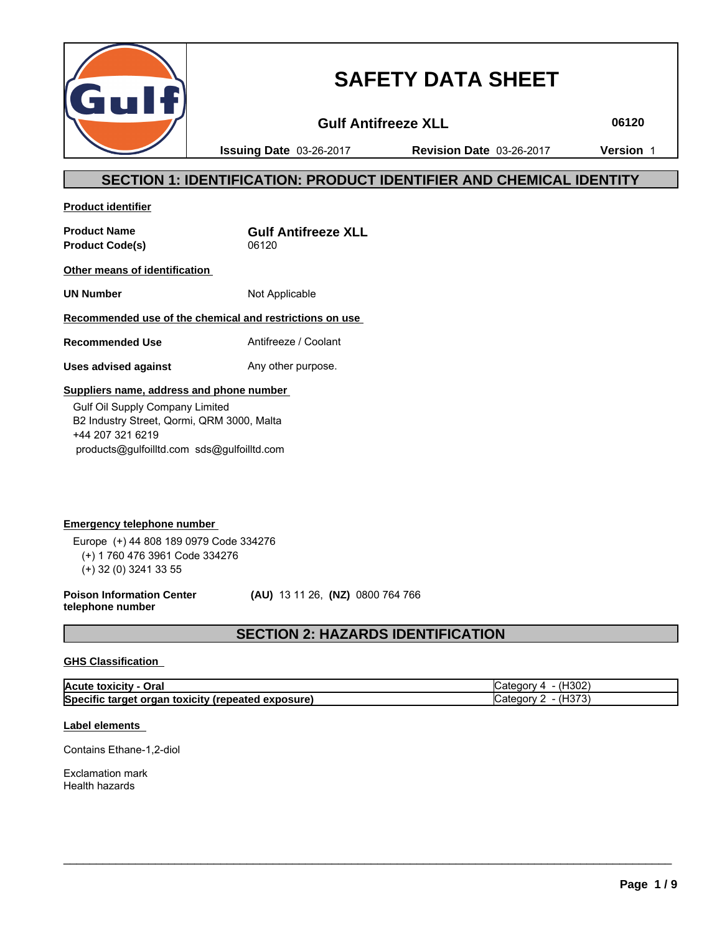

# **SAFETY DATA SHEET**

**Gulf Antifreeze XLL 06120**

**Issuing Date** 03-26-2017 **Revision Date** 03-26-2017 **Version** 1

# **SECTION 1: IDENTIFICATION: PRODUCT IDENTIFIER AND CHEMICAL IDENTITY**

**Product identifier**

**Product Code(s)** 06120

**Product Name Gulf Antifreeze XLL**

**Other means of identification** 

**UN Number** Not Applicable

# **Recommended use of the chemical and restrictions on use**

**Recommended Use** Antifreeze / Coolant

**Uses advised against** Any other purpose.

#### **Suppliers name, address and phone number**

 Gulf Oil Supply Company Limited B2 Industry Street, Qormi, QRM 3000, Malta +44 207 321 6219 products@gulfoilltd.com sds@gulfoilltd.com

**Emergency telephone number**  Europe (+) 44 808 189 0979 Code 334276 (+) 1 760 476 3961 Code 334276 (+) 32 (0) 3241 33 55

**Poison Information Center telephone number**

 **(AU)** 13 11 26, **(NZ)** 0800 764 766

# **SECTION 2: HAZARDS IDENTIFICATION**

### **GHS Classification**

| Acute toxicity - Oral                              | (H <sub>302</sub> )<br>ategory 4- |
|----------------------------------------------------|-----------------------------------|
| Specific target organ toxicity (repeated exposure) | 4Н373,<br>∵atedorv                |

 $\_$  ,  $\_$  ,  $\_$  ,  $\_$  ,  $\_$  ,  $\_$  ,  $\_$  ,  $\_$  ,  $\_$  ,  $\_$  ,  $\_$  ,  $\_$  ,  $\_$  ,  $\_$  ,  $\_$  ,  $\_$  ,  $\_$  ,  $\_$  ,  $\_$  ,  $\_$  ,  $\_$  ,  $\_$  ,  $\_$  ,  $\_$  ,  $\_$  ,  $\_$  ,  $\_$  ,  $\_$  ,  $\_$  ,  $\_$  ,  $\_$  ,  $\_$  ,  $\_$  ,  $\_$  ,  $\_$  ,  $\_$  ,  $\_$  ,

# **Label elements**

Contains Ethane-1,2-diol

Exclamation mark Health hazards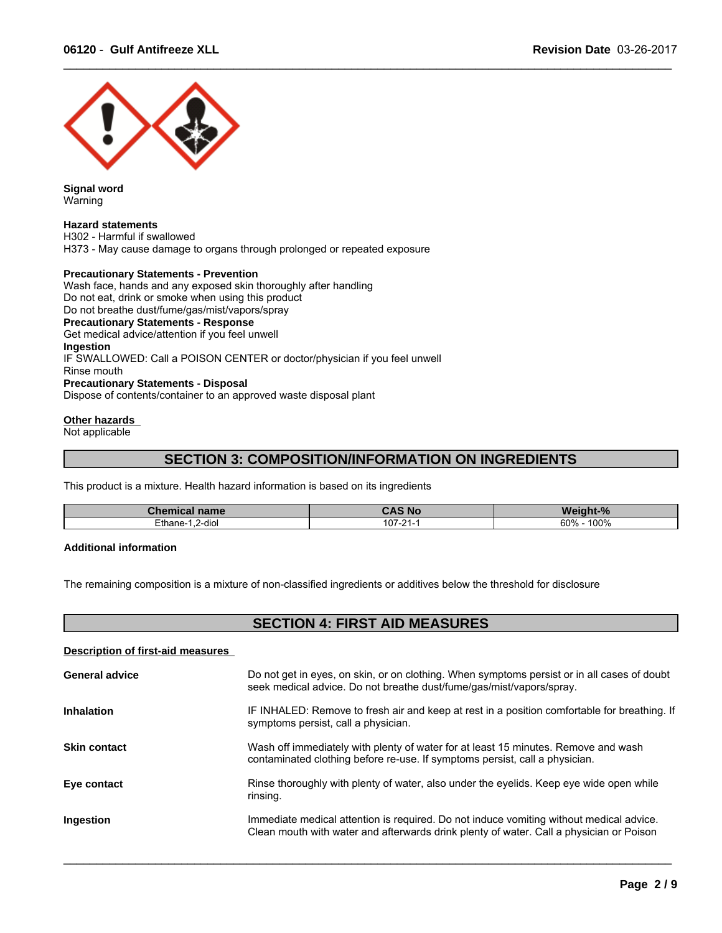

**Signal word** Warning

#### **Hazard statements**

H302 - Harmful if swallowed H373 - May cause damage to organs through prolonged or repeated exposure

#### **Precautionary Statements - Prevention**

Wash face, hands and any exposed skin thoroughly after handling Do not eat, drink or smoke when using this product Do not breathe dust/fume/gas/mist/vapors/spray **Precautionary Statements - Response** Get medical advice/attention if you feel unwell **Ingestion** IF SWALLOWED: Call a POISON CENTER or doctor/physician if you feel unwell Rinse mouth **Precautionary Statements - Disposal** Dispose of contents/container to an approved waste disposal plant

#### **Other hazards**

Not applicable

# **SECTION 3: COMPOSITION/INFORMATION ON INGREDIENTS**

 $\_$  ,  $\_$  ,  $\_$  ,  $\_$  ,  $\_$  ,  $\_$  ,  $\_$  ,  $\_$  ,  $\_$  ,  $\_$  ,  $\_$  ,  $\_$  ,  $\_$  ,  $\_$  ,  $\_$  ,  $\_$  ,  $\_$  ,  $\_$  ,  $\_$  ,  $\_$  ,  $\_$  ,  $\_$  ,  $\_$  ,  $\_$  ,  $\_$  ,  $\_$  ,  $\_$  ,  $\_$  ,  $\_$  ,  $\_$  ,  $\_$  ,  $\_$  ,  $\_$  ,  $\_$  ,  $\_$  ,  $\_$  ,  $\_$  ,

This product is a mixture. Health hazard information is based on its ingredients

| <b>Chemical name</b> | <b>CAS No</b> | $+0/$<br>- Weigh |
|----------------------|---------------|------------------|
| Ethane-              | $107 -$       | 100%             |
| ∵2-diu.              | $\mathbf{a}$  | 60%              |

#### **Additional information**

The remaining composition is a mixture of non-classified ingredients or additives below the threshold for disclosure

# **SECTION 4: FIRST AID MEASURES**

**Description of first-aid measures** 

| <b>General advice</b> | Do not get in eyes, on skin, or on clothing. When symptoms persist or in all cases of doubt<br>seek medical advice. Do not breathe dust/fume/gas/mist/vapors/spray.                |
|-----------------------|------------------------------------------------------------------------------------------------------------------------------------------------------------------------------------|
| <b>Inhalation</b>     | IF INHALED: Remove to fresh air and keep at rest in a position comfortable for breathing. If<br>symptoms persist, call a physician.                                                |
| <b>Skin contact</b>   | Wash off immediately with plenty of water for at least 15 minutes. Remove and wash<br>contaminated clothing before re-use. If symptoms persist, call a physician.                  |
| Eye contact           | Rinse thoroughly with plenty of water, also under the eyelids. Keep eye wide open while<br>rinsing.                                                                                |
| Ingestion             | Immediate medical attention is required. Do not induce vomiting without medical advice.<br>Clean mouth with water and afterwards drink plenty of water. Call a physician or Poison |
|                       |                                                                                                                                                                                    |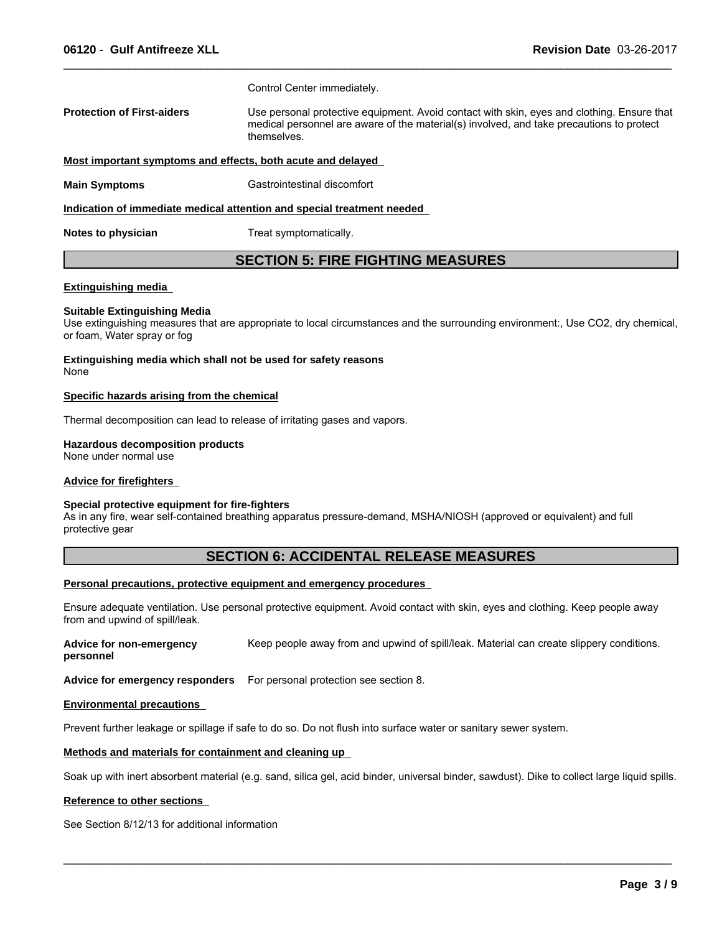Control Center immediately.

**Protection of First-aiders** Use personal protective equipment. Avoid contact with skin, eyes and clothing. Ensure that medical personnel are aware of the material(s) involved, and take precautions to protect themselves.

 $\_$  ,  $\_$  ,  $\_$  ,  $\_$  ,  $\_$  ,  $\_$  ,  $\_$  ,  $\_$  ,  $\_$  ,  $\_$  ,  $\_$  ,  $\_$  ,  $\_$  ,  $\_$  ,  $\_$  ,  $\_$  ,  $\_$  ,  $\_$  ,  $\_$  ,  $\_$  ,  $\_$  ,  $\_$  ,  $\_$  ,  $\_$  ,  $\_$  ,  $\_$  ,  $\_$  ,  $\_$  ,  $\_$  ,  $\_$  ,  $\_$  ,  $\_$  ,  $\_$  ,  $\_$  ,  $\_$  ,  $\_$  ,  $\_$  ,

#### **Most important symptoms and effects, both acute and delayed**

**Main Symptoms** Gastrointestinal discomfort

**Indication of immediate medical attention and special treatment needed** 

**Notes to physician** Treat symptomatically.

# **SECTION 5: FIRE FIGHTING MEASURES**

#### **Extinguishing media**

#### **Suitable Extinguishing Media**

Use extinguishing measures that are appropriate to local circumstances and the surrounding environment:, Use CO2, dry chemical, or foam, Water spray or fog

**Extinguishing media which shall not be used for safety reasons** None

#### **Specific hazards arising from the chemical**

Thermal decomposition can lead to release of irritating gases and vapors.

#### **Hazardous decomposition products**

None under normal use

#### **Advice for firefighters**

#### **Special protective equipment for fire-fighters**

As in any fire, wear self-contained breathing apparatus pressure-demand, MSHA/NIOSH (approved or equivalent) and full protective gear

#### **SECTION 6: ACCIDENTAL RELEASE MEASURES**

#### **Personal precautions, protective equipment and emergency procedures**

Ensure adequate ventilation. Use personal protective equipment. Avoid contact with skin, eyes and clothing. Keep people away from and upwind of spill/leak.

**Advice for non-emergency personnel** Keep people away from and upwind of spill/leak. Material can create slippery conditions.

**Advice for emergency responders** For personal protection see section 8.

#### **Environmental precautions**

Prevent further leakage or spillage if safe to do so. Do not flush into surface water or sanitary sewer system.

#### **Methods and materials for containment and cleaning up**

Soak up with inert absorbent material (e.g. sand, silica gel, acid binder, universal binder, sawdust). Dike to collect large liquid spills.

 $\_$  ,  $\_$  ,  $\_$  ,  $\_$  ,  $\_$  ,  $\_$  ,  $\_$  ,  $\_$  ,  $\_$  ,  $\_$  ,  $\_$  ,  $\_$  ,  $\_$  ,  $\_$  ,  $\_$  ,  $\_$  ,  $\_$  ,  $\_$  ,  $\_$  ,  $\_$  ,  $\_$  ,  $\_$  ,  $\_$  ,  $\_$  ,  $\_$  ,  $\_$  ,  $\_$  ,  $\_$  ,  $\_$  ,  $\_$  ,  $\_$  ,  $\_$  ,  $\_$  ,  $\_$  ,  $\_$  ,  $\_$  ,  $\_$  ,

#### **Reference to other sections**

See Section 8/12/13 for additional information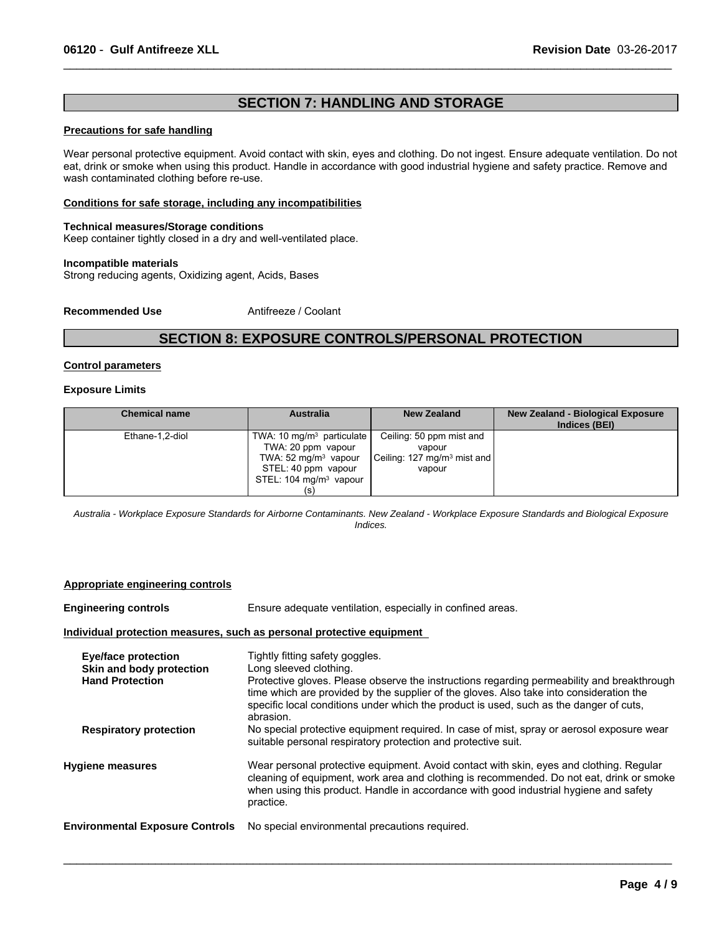# **SECTION 7: HANDLING AND STORAGE**

 $\_$  ,  $\_$  ,  $\_$  ,  $\_$  ,  $\_$  ,  $\_$  ,  $\_$  ,  $\_$  ,  $\_$  ,  $\_$  ,  $\_$  ,  $\_$  ,  $\_$  ,  $\_$  ,  $\_$  ,  $\_$  ,  $\_$  ,  $\_$  ,  $\_$  ,  $\_$  ,  $\_$  ,  $\_$  ,  $\_$  ,  $\_$  ,  $\_$  ,  $\_$  ,  $\_$  ,  $\_$  ,  $\_$  ,  $\_$  ,  $\_$  ,  $\_$  ,  $\_$  ,  $\_$  ,  $\_$  ,  $\_$  ,  $\_$  ,

# **Precautions for safe handling**

Wear personal protective equipment. Avoid contact with skin, eyes and clothing. Do not ingest. Ensure adequate ventilation. Do not eat, drink or smoke when using this product. Handle in accordance with good industrial hygiene and safety practice. Remove and wash contaminated clothing before re-use.

#### **Conditions for safe storage, including any incompatibilities**

#### **Technical measures/Storage conditions**

Keep container tightly closed in a dry and well-ventilated place.

#### **Incompatible materials**

Strong reducing agents, Oxidizing agent, Acids, Bases

**Recommended Use** Antifreeze / Coolant

# **SECTION 8: EXPOSURE CONTROLS/PERSONAL PROTECTION**

#### **Control parameters**

#### **Exposure Limits**

| <b>Chemical name</b> | <b>Australia</b>                  | <b>New Zealand</b>                      | New Zealand - Biological Exposure<br>Indices (BEI) |
|----------------------|-----------------------------------|-----------------------------------------|----------------------------------------------------|
| Ethane-1,2-diol      | TWA: 10 $mq/m3$ particulate       | Ceiling: 50 ppm mist and                |                                                    |
|                      | TWA: 20 ppm vapour                | vapour                                  |                                                    |
|                      | TWA: $52 \text{ mg/m}^3$ vapour   | Ceiling: 127 mg/m <sup>3</sup> mist and |                                                    |
|                      | STEL: 40 ppm vapour               | vapour                                  |                                                    |
|                      | STEL: $104 \text{ mg/m}^3$ vapour |                                         |                                                    |
|                      |                                   |                                         |                                                    |

*Australia - Workplace Exposure Standards for Airborne Contaminants. New Zealand - Workplace Exposure Standards and Biological Exposure Indices.*

#### **Appropriate engineering controls**

| <b>Engineering controls</b>                                                      | Ensure adequate ventilation, especially in confined areas.                                                                                                                                                                                                                                                                                                |
|----------------------------------------------------------------------------------|-----------------------------------------------------------------------------------------------------------------------------------------------------------------------------------------------------------------------------------------------------------------------------------------------------------------------------------------------------------|
|                                                                                  | Individual protection measures, such as personal protective equipment                                                                                                                                                                                                                                                                                     |
| <b>Eye/face protection</b><br>Skin and body protection<br><b>Hand Protection</b> | Tightly fitting safety goggles.<br>Long sleeved clothing.<br>Protective gloves. Please observe the instructions regarding permeability and breakthrough<br>time which are provided by the supplier of the gloves. Also take into consideration the<br>specific local conditions under which the product is used, such as the danger of cuts,<br>abrasion. |
| <b>Respiratory protection</b>                                                    | No special protective equipment required. In case of mist, spray or aerosol exposure wear<br>suitable personal respiratory protection and protective suit.                                                                                                                                                                                                |
| <b>Hygiene measures</b>                                                          | Wear personal protective equipment. Avoid contact with skin, eyes and clothing. Regular<br>cleaning of equipment, work area and clothing is recommended. Do not eat, drink or smoke<br>when using this product. Handle in accordance with good industrial hygiene and safety<br>practice.                                                                 |
| <b>Environmental Exposure Controls</b>                                           | No special environmental precautions required.                                                                                                                                                                                                                                                                                                            |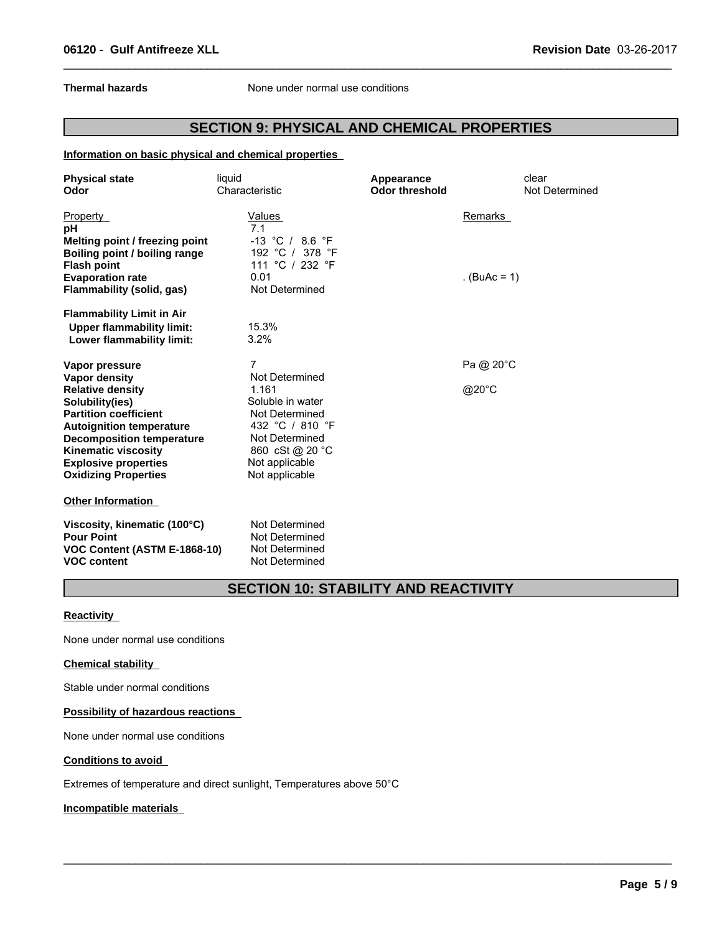**Thermal hazards** None under normal use conditions

# **SECTION 9: PHYSICAL AND CHEMICAL PROPERTIES**

 $\_$  ,  $\_$  ,  $\_$  ,  $\_$  ,  $\_$  ,  $\_$  ,  $\_$  ,  $\_$  ,  $\_$  ,  $\_$  ,  $\_$  ,  $\_$  ,  $\_$  ,  $\_$  ,  $\_$  ,  $\_$  ,  $\_$  ,  $\_$  ,  $\_$  ,  $\_$  ,  $\_$  ,  $\_$  ,  $\_$  ,  $\_$  ,  $\_$  ,  $\_$  ,  $\_$  ,  $\_$  ,  $\_$  ,  $\_$  ,  $\_$  ,  $\_$  ,  $\_$  ,  $\_$  ,  $\_$  ,  $\_$  ,  $\_$  ,

**Information on basic physical and chemical properties** 

| <b>Physical state</b>                                                             | liquid                                             | Appearance            | clear          |
|-----------------------------------------------------------------------------------|----------------------------------------------------|-----------------------|----------------|
| Odor                                                                              | Characteristic                                     | <b>Odor threshold</b> | Not Determined |
| <b>Property</b><br>рH                                                             | Values<br>7.1                                      |                       | Remarks        |
| Melting point / freezing point                                                    | $-13$ °C / 8.6 °F                                  |                       |                |
| Boiling point / boiling range                                                     | 192 °C / 378 °F                                    |                       |                |
| <b>Flash point</b>                                                                | 111 °C / 232 °F                                    |                       |                |
| <b>Evaporation rate</b>                                                           | 0.01                                               |                       | $(BuAc = 1)$   |
| Flammability (solid, gas)                                                         | Not Determined                                     |                       |                |
| <b>Flammability Limit in Air</b>                                                  |                                                    |                       |                |
| <b>Upper flammability limit:</b>                                                  | 15.3%                                              |                       |                |
| Lower flammability limit:                                                         | 3.2%                                               |                       |                |
| Vapor pressure                                                                    | 7                                                  |                       | Pa @ 20°C      |
| <b>Vapor density</b>                                                              | Not Determined                                     |                       |                |
| <b>Relative density</b>                                                           | 1.161                                              |                       | @20°C          |
| Solubility(ies)                                                                   | Soluble in water                                   |                       |                |
| <b>Partition coefficient</b>                                                      | Not Determined                                     |                       |                |
| <b>Autoignition temperature</b>                                                   | 432 °C / 810 °F                                    |                       |                |
| <b>Decomposition temperature</b>                                                  | Not Determined                                     |                       |                |
| <b>Kinematic viscosity</b>                                                        | 860 cSt @ 20 °C                                    |                       |                |
| <b>Explosive properties</b>                                                       | Not applicable                                     |                       |                |
| <b>Oxidizing Properties</b>                                                       | Not applicable                                     |                       |                |
| <b>Other Information</b>                                                          |                                                    |                       |                |
| Viscosity, kinematic (100°C)<br><b>Pour Point</b><br>VOC Content (ASTM E-1868-10) | Not Determined<br>Not Determined<br>Not Determined |                       |                |
| <b>VOC content</b>                                                                | Not Determined                                     |                       |                |

# **SECTION 10: STABILITY AND REACTIVITY**

 $\_$  ,  $\_$  ,  $\_$  ,  $\_$  ,  $\_$  ,  $\_$  ,  $\_$  ,  $\_$  ,  $\_$  ,  $\_$  ,  $\_$  ,  $\_$  ,  $\_$  ,  $\_$  ,  $\_$  ,  $\_$  ,  $\_$  ,  $\_$  ,  $\_$  ,  $\_$  ,  $\_$  ,  $\_$  ,  $\_$  ,  $\_$  ,  $\_$  ,  $\_$  ,  $\_$  ,  $\_$  ,  $\_$  ,  $\_$  ,  $\_$  ,  $\_$  ,  $\_$  ,  $\_$  ,  $\_$  ,  $\_$  ,  $\_$  ,

**Reactivity** 

None under normal use conditions

#### **Chemical stability**

Stable under normal conditions

#### **Possibility of hazardous reactions**

None under normal use conditions

#### **Conditions to avoid**

Extremes of temperature and direct sunlight, Temperatures above 50°C

#### **Incompatible materials**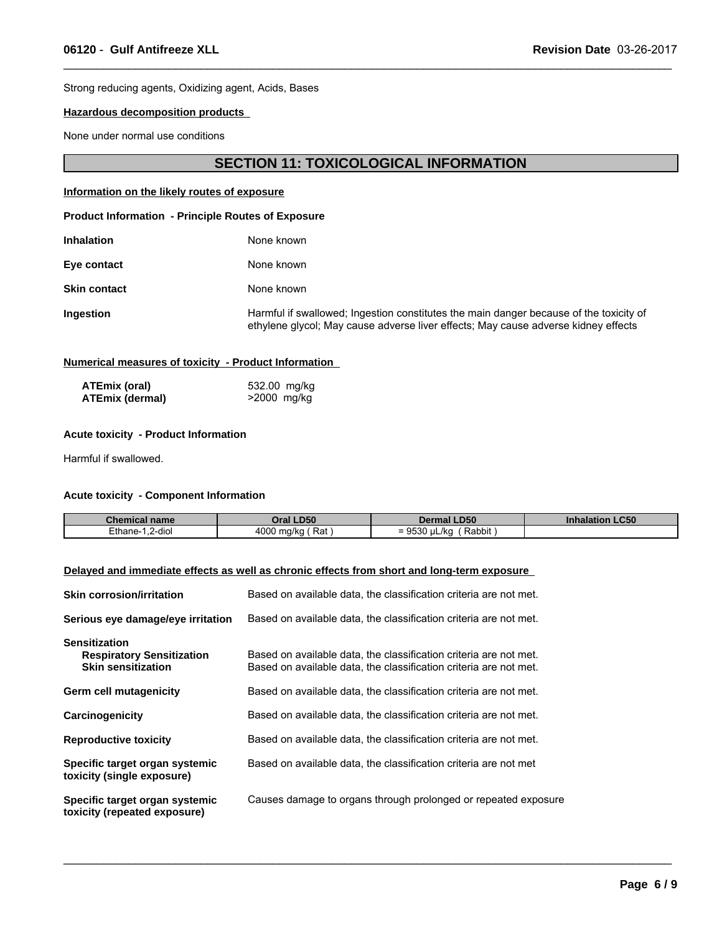Strong reducing agents, Oxidizing agent, Acids, Bases

#### **Hazardous decomposition products**

None under normal use conditions

# **SECTION 11: TOXICOLOGICAL INFORMATION**

#### **Information on the likely routes of exposure**

#### **Product Information - Principle Routes of Exposure**

| <b>Inhalation</b>   | None known                                                                 |
|---------------------|----------------------------------------------------------------------------|
| Eye contact         | None known                                                                 |
| <b>Skin contact</b> | None known                                                                 |
| <b>Ingestion</b>    | Harmful if swallowed; Ingestion cons<br>ethylene glycol; May cause adverse |

larmful ingestion constitutes the main danger because of the toxicity of glycol; May cause adverse liver effects; May cause adverse kidney effects

 $\_$  ,  $\_$  ,  $\_$  ,  $\_$  ,  $\_$  ,  $\_$  ,  $\_$  ,  $\_$  ,  $\_$  ,  $\_$  ,  $\_$  ,  $\_$  ,  $\_$  ,  $\_$  ,  $\_$  ,  $\_$  ,  $\_$  ,  $\_$  ,  $\_$  ,  $\_$  ,  $\_$  ,  $\_$  ,  $\_$  ,  $\_$  ,  $\_$  ,  $\_$  ,  $\_$  ,  $\_$  ,  $\_$  ,  $\_$  ,  $\_$  ,  $\_$  ,  $\_$  ,  $\_$  ,  $\_$  ,  $\_$  ,  $\_$  ,

#### **Numerical measures of toxicity - Product Information**

| ATEmix (oral)          | 532.00 mg/kg |
|------------------------|--------------|
| <b>ATEmix (dermal)</b> | >2000 mg/kg  |

#### **Acute toxicity - Product Information**

Harmful if swallowed.

#### **Acute toxicity - Component Information**

| <b>Chemical name</b>             | <b>_D50</b><br>wrai .  | <b>LD50</b><br>Dermal                                 | <b>Inhalation LC50</b> |
|----------------------------------|------------------------|-------------------------------------------------------|------------------------|
| $\cdots$<br>2-dio<br>≟thane-<br> | 4000<br>Rat<br>, ma/kc | Rabbit<br>$^{\prime}$<br>. . r<br>ື 9ລວ∩ µL/KG<br>$=$ |                        |

 $\_$  ,  $\_$  ,  $\_$  ,  $\_$  ,  $\_$  ,  $\_$  ,  $\_$  ,  $\_$  ,  $\_$  ,  $\_$  ,  $\_$  ,  $\_$  ,  $\_$  ,  $\_$  ,  $\_$  ,  $\_$  ,  $\_$  ,  $\_$  ,  $\_$  ,  $\_$  ,  $\_$  ,  $\_$  ,  $\_$  ,  $\_$  ,  $\_$  ,  $\_$  ,  $\_$  ,  $\_$  ,  $\_$  ,  $\_$  ,  $\_$  ,  $\_$  ,  $\_$  ,  $\_$  ,  $\_$  ,  $\_$  ,  $\_$  ,

# **Delayed and immediate effects as well as chronic effects from short and long-term exposure**

| <b>Skin corrosion/irritation</b>                                                      | Based on available data, the classification criteria are not met.                                                                      |
|---------------------------------------------------------------------------------------|----------------------------------------------------------------------------------------------------------------------------------------|
| Serious eye damage/eye irritation                                                     | Based on available data, the classification criteria are not met.                                                                      |
| <b>Sensitization</b><br><b>Respiratory Sensitization</b><br><b>Skin sensitization</b> | Based on available data, the classification criteria are not met.<br>Based on available data, the classification criteria are not met. |
| <b>Germ cell mutagenicity</b>                                                         | Based on available data, the classification criteria are not met.                                                                      |
| Carcinogenicity                                                                       | Based on available data, the classification criteria are not met.                                                                      |
| <b>Reproductive toxicity</b>                                                          | Based on available data, the classification criteria are not met.                                                                      |
| Specific target organ systemic<br>toxicity (single exposure)                          | Based on available data, the classification criteria are not met                                                                       |
| Specific target organ systemic<br>toxicity (repeated exposure)                        | Causes damage to organs through prolonged or repeated exposure                                                                         |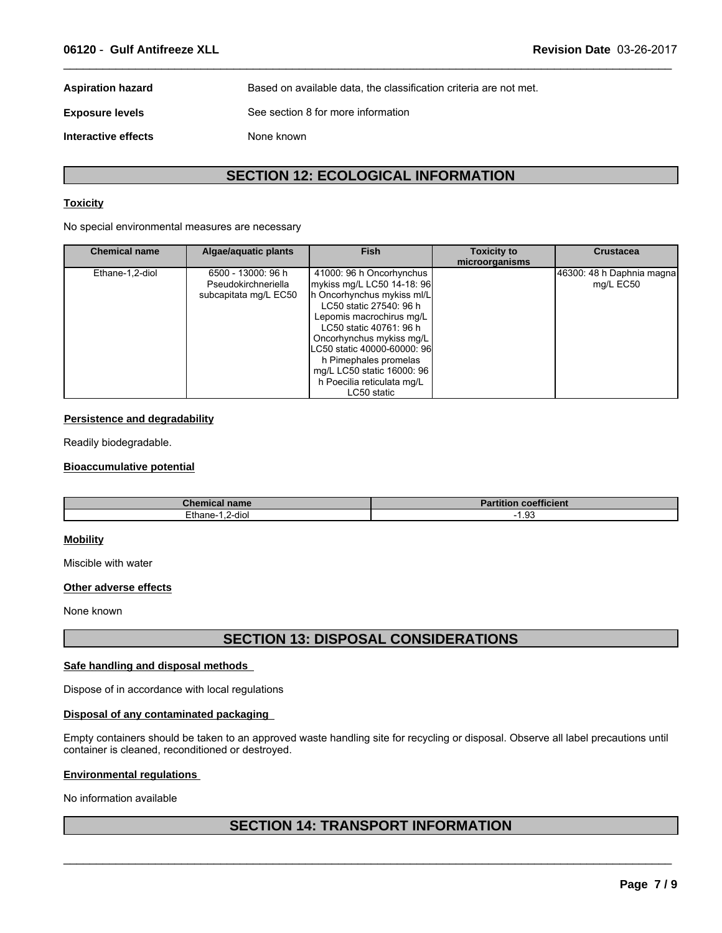**Aspiration hazard** Based on available data, the classification criteria are not met. **Exposure levels** See section 8 for more information

**Interactive effects** None known

# **SECTION 12: ECOLOGICAL INFORMATION**

 $\_$  ,  $\_$  ,  $\_$  ,  $\_$  ,  $\_$  ,  $\_$  ,  $\_$  ,  $\_$  ,  $\_$  ,  $\_$  ,  $\_$  ,  $\_$  ,  $\_$  ,  $\_$  ,  $\_$  ,  $\_$  ,  $\_$  ,  $\_$  ,  $\_$  ,  $\_$  ,  $\_$  ,  $\_$  ,  $\_$  ,  $\_$  ,  $\_$  ,  $\_$  ,  $\_$  ,  $\_$  ,  $\_$  ,  $\_$  ,  $\_$  ,  $\_$  ,  $\_$  ,  $\_$  ,  $\_$  ,  $\_$  ,  $\_$  ,

#### **Toxicity**

No special environmental measures are necessary

| <b>Chemical name</b> | Algae/aquatic plants                                               | <b>Fish</b>                                                                                                                                                                                                                                                                                                                           | <b>Toxicity to</b><br>microorganisms | <b>Crustacea</b>                       |
|----------------------|--------------------------------------------------------------------|---------------------------------------------------------------------------------------------------------------------------------------------------------------------------------------------------------------------------------------------------------------------------------------------------------------------------------------|--------------------------------------|----------------------------------------|
| Ethane-1,2-diol      | 6500 - 13000: 96 h<br>Pseudokirchneriella<br>subcapitata mg/L EC50 | 41000: 96 h Oncorhynchus<br>mykiss mg/L LC50 14-18: 96<br>h Oncorhynchus mykiss ml/L<br>LC50 static 27540: 96 h<br>Lepomis macrochirus mg/L<br>LC50 static 40761: 96 h<br>Oncorhynchus mykiss mg/L<br>LC50 static 40000-60000: 96<br>h Pimephales promelas<br>mg/L LC50 static 16000: 96<br>h Poecilia reticulata mg/L<br>LC50 static |                                      | 46300: 48 h Daphnia magna<br>mg/L EC50 |

#### **Persistence and degradability**

Readily biodegradable.

#### **Bioaccumulative potential**

| `homi<br>emical name | $-0.01$<br>$D$ <sub>a</sub> $H$ <sub>i</sub> $L$ <sub>i</sub><br><b>1 coefficient</b><br>rartition |
|----------------------|----------------------------------------------------------------------------------------------------|
| Ethane-              | ഹ.                                                                                                 |
| .2-diol              | $\cdot$ . $\circ$ .                                                                                |

#### **Mobility**

Miscible with water

#### **Other adverse effects**

None known

# **SECTION 13: DISPOSAL CONSIDERATIONS**

#### **Safe handling and disposal methods**

Dispose of in accordance with local regulations

#### **Disposal of any contaminated packaging**

Empty containers should be taken to an approved waste handling site for recycling or disposal. Observe all label precautions until container is cleaned, reconditioned or destroyed.

#### **Environmental regulations**

No information available

# **SECTION 14: TRANSPORT INFORMATION**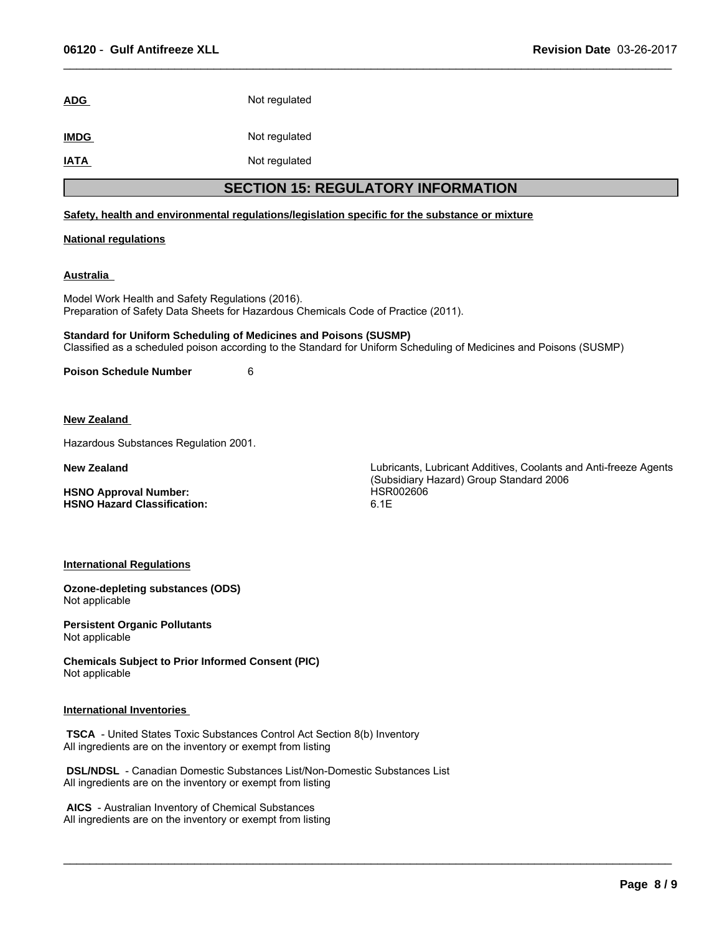# ADG Not regulated

**IMDG** Not regulated

**IATA** Not regulated

# **SECTION 15: REGULATORY INFORMATION**

 $\_$  ,  $\_$  ,  $\_$  ,  $\_$  ,  $\_$  ,  $\_$  ,  $\_$  ,  $\_$  ,  $\_$  ,  $\_$  ,  $\_$  ,  $\_$  ,  $\_$  ,  $\_$  ,  $\_$  ,  $\_$  ,  $\_$  ,  $\_$  ,  $\_$  ,  $\_$  ,  $\_$  ,  $\_$  ,  $\_$  ,  $\_$  ,  $\_$  ,  $\_$  ,  $\_$  ,  $\_$  ,  $\_$  ,  $\_$  ,  $\_$  ,  $\_$  ,  $\_$  ,  $\_$  ,  $\_$  ,  $\_$  ,  $\_$  ,

 $\_$  ,  $\_$  ,  $\_$  ,  $\_$  ,  $\_$  ,  $\_$  ,  $\_$  ,  $\_$  ,  $\_$  ,  $\_$  ,  $\_$  ,  $\_$  ,  $\_$  ,  $\_$  ,  $\_$  ,  $\_$  ,  $\_$  ,  $\_$  ,  $\_$  ,  $\_$  ,  $\_$  ,  $\_$  ,  $\_$  ,  $\_$  ,  $\_$  ,  $\_$  ,  $\_$  ,  $\_$  ,  $\_$  ,  $\_$  ,  $\_$  ,  $\_$  ,  $\_$  ,  $\_$  ,  $\_$  ,  $\_$  ,  $\_$  ,

#### **Safety, health and environmental regulations/legislation specific for the substance or mixture**

#### **National regulations**

#### **Australia**

Model Work Health and Safety Regulations (2016). Preparation of Safety Data Sheets for Hazardous Chemicals Code of Practice (2011).

**Standard for Uniform Scheduling of Medicines and Poisons (SUSMP)** Classified as a scheduled poison according to the Standard for Uniform Scheduling of Medicines and Poisons (SUSMP)

**Poison Schedule Number** 6

**New Zealand** 

Hazardous Substances Regulation 2001.

**HSNO Approval Number:** HSR002606 **HSNO Hazard Classification:** 

**New Zealand** Lubricants, Lubricant Additives, Coolants and Anti-freeze Agents (Subsidiary Hazard) Group Standard 2006

#### **International Regulations**

**Ozone-depleting substances (ODS)** Not applicable

**Persistent Organic Pollutants** Not applicable

**Chemicals Subject to Prior Informed Consent (PIC)** Not applicable

#### **International Inventories**

 **TSCA** - United States Toxic Substances Control Act Section 8(b) Inventory All ingredients are on the inventory or exempt from listing

 **DSL/NDSL** - Canadian Domestic Substances List/Non-Domestic Substances List All ingredients are on the inventory or exempt from listing

 **AICS** - Australian Inventory of Chemical Substances All ingredients are on the inventory or exempt from listing